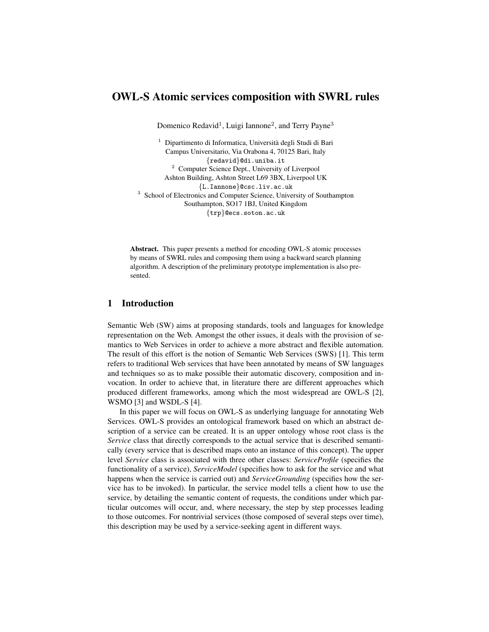# OWL-S Atomic services composition with SWRL rules

Domenico Redavid<sup>1</sup>, Luigi Iannone<sup>2</sup>, and Terry Payne<sup>3</sup>

 $1$  Dipartimento di Informatica, Università degli Studi di Bari  $1$ Campus Universitario, Via Orabona 4, 70125 Bari, Italy {redavid}@di.uniba.it <sup>2</sup> Computer Science Dept., University of Liverpool Ashton Building, Ashton Street L69 3BX, Liverpool UK {L.Iannone}@csc.liv.ac.uk <sup>3</sup> School of Electronics and Computer Science, University of Southampton Southampton, SO17 1BJ, United Kingdom {trp}@ecs.soton.ac.uk

Abstract. This paper presents a method for encoding OWL-S atomic processes by means of SWRL rules and composing them using a backward search planning algorithm. A description of the preliminary prototype implementation is also presented.

# 1 Introduction

Semantic Web (SW) aims at proposing standards, tools and languages for knowledge representation on the Web. Amongst the other issues, it deals with the provision of semantics to Web Services in order to achieve a more abstract and flexible automation. The result of this effort is the notion of Semantic Web Services (SWS) [1]. This term refers to traditional Web services that have been annotated by means of SW languages and techniques so as to make possible their automatic discovery, composition and invocation. In order to achieve that, in literature there are different approaches which produced different frameworks, among which the most widespread are OWL-S [2], WSMO [3] and WSDL-S [4].

In this paper we will focus on OWL-S as underlying language for annotating Web Services. OWL-S provides an ontological framework based on which an abstract description of a service can be created. It is an upper ontology whose root class is the *Service* class that directly corresponds to the actual service that is described semantically (every service that is described maps onto an instance of this concept). The upper level *Service* class is associated with three other classes: *ServiceProfile* (specifies the functionality of a service), *ServiceModel* (specifies how to ask for the service and what happens when the service is carried out) and *ServiceGrounding* (specifies how the service has to be invoked). In particular, the service model tells a client how to use the service, by detailing the semantic content of requests, the conditions under which particular outcomes will occur, and, where necessary, the step by step processes leading to those outcomes. For nontrivial services (those composed of several steps over time), this description may be used by a service-seeking agent in different ways.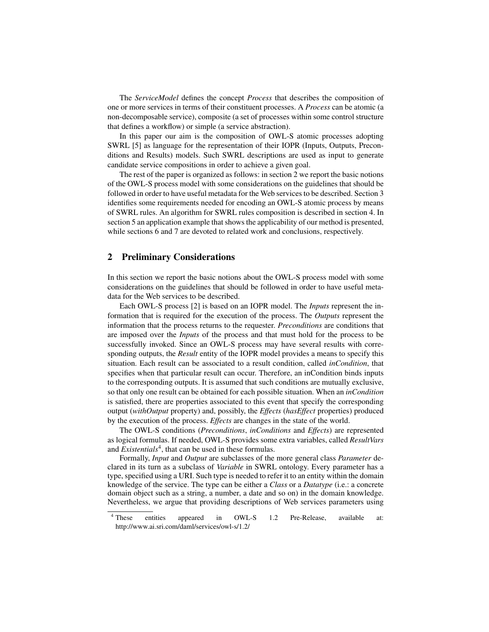The *ServiceModel* defines the concept *Process* that describes the composition of one or more services in terms of their constituent processes. A *Process* can be atomic (a non-decomposable service), composite (a set of processes within some control structure that defines a workflow) or simple (a service abstraction).

In this paper our aim is the composition of OWL-S atomic processes adopting SWRL [5] as language for the representation of their IOPR (Inputs, Outputs, Preconditions and Results) models. Such SWRL descriptions are used as input to generate candidate service compositions in order to achieve a given goal.

The rest of the paper is organized as follows: in section 2 we report the basic notions of the OWL-S process model with some considerations on the guidelines that should be followed in order to have useful metadata for the Web services to be described. Section 3 identifies some requirements needed for encoding an OWL-S atomic process by means of SWRL rules. An algorithm for SWRL rules composition is described in section 4. In section 5 an application example that shows the applicability of our method is presented, while sections 6 and 7 are devoted to related work and conclusions, respectively.

## 2 Preliminary Considerations

In this section we report the basic notions about the OWL-S process model with some considerations on the guidelines that should be followed in order to have useful metadata for the Web services to be described.

Each OWL-S process [2] is based on an IOPR model. The *Inputs* represent the information that is required for the execution of the process. The *Outputs* represent the information that the process returns to the requester. *Preconditions* are conditions that are imposed over the *Inputs* of the process and that must hold for the process to be successfully invoked. Since an OWL-S process may have several results with corresponding outputs, the *Result* entity of the IOPR model provides a means to specify this situation. Each result can be associated to a result condition, called *inCondition*, that specifies when that particular result can occur. Therefore, an inCondition binds inputs to the corresponding outputs. It is assumed that such conditions are mutually exclusive, so that only one result can be obtained for each possible situation. When an *inCondition* is satisfied, there are properties associated to this event that specify the corresponding output (*withOutput* property) and, possibly, the *Effects* (*hasEffect* properties) produced by the execution of the process. *Effects* are changes in the state of the world.

The OWL-S conditions (*Preconditions*, *inConditions* and *Effects*) are represented as logical formulas. If needed, OWL-S provides some extra variables, called *ResultVars* and *Existentials*<sup>4</sup>, that can be used in these formulas.

Formally, *Input* and *Output* are subclasses of the more general class *Parameter* declared in its turn as a subclass of *Variable* in SWRL ontology. Every parameter has a type, specified using a URI. Such type is needed to refer it to an entity within the domain knowledge of the service. The type can be either a *Class* or a *Datatype* (i.e.: a concrete domain object such as a string, a number, a date and so on) in the domain knowledge. Nevertheless, we argue that providing descriptions of Web services parameters using

<sup>4</sup> These entities appeared in OWL-S 1.2 Pre-Release, available at: http://www.ai.sri.com/daml/services/owl-s/1.2/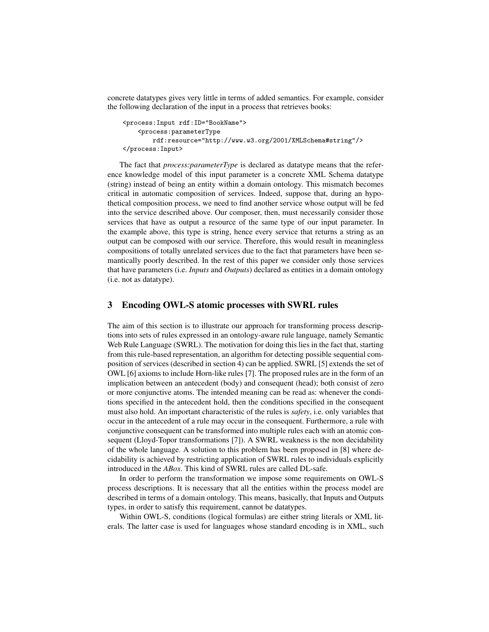concrete datatypes gives very little in terms of added semantics. For example, consider the following declaration of the input in a process that retrieves books:

```
<process:Input rdf:ID="BookName">
    <process:parameterType
        rdf:resource="http://www.w3.org/2001/XMLSchema#string"/>
</process:Input>
```
The fact that *process:parameterType* is declared as datatype means that the reference knowledge model of this input parameter is a concrete XML Schema datatype (string) instead of being an entity within a domain ontology. This mismatch becomes critical in automatic composition of services. Indeed, suppose that, during an hypothetical composition process, we need to find another service whose output will be fed into the service described above. Our composer, then, must necessarily consider those services that have as output a resource of the same type of our input parameter. In the example above, this type is string, hence every service that returns a string as an output can be composed with our service. Therefore, this would result in meaningless compositions of totally unrelated services due to the fact that parameters have been semantically poorly described. In the rest of this paper we consider only those services that have parameters (i.e. *Inputs* and *Outputs*) declared as entities in a domain ontology (i.e. not as datatype).

#### 3 Encoding OWL-S atomic processes with SWRL rules

The aim of this section is to illustrate our approach for transforming process descriptions into sets of rules expressed in an ontology-aware rule language, namely Semantic Web Rule Language (SWRL). The motivation for doing this lies in the fact that, starting from this rule-based representation, an algorithm for detecting possible sequential composition of services (described in section 4) can be applied. SWRL [5] extends the set of OWL [6] axioms to include Horn-like rules [7]. The proposed rules are in the form of an implication between an antecedent (body) and consequent (head); both consist of zero or more conjunctive atoms. The intended meaning can be read as: whenever the conditions specified in the antecedent hold, then the conditions specified in the consequent must also hold. An important characteristic of the rules is *safety*, i.e. only variables that occur in the antecedent of a rule may occur in the consequent. Furthermore, a rule with conjunctive consequent can be transformed into multiple rules each with an atomic consequent (Lloyd-Topor transformations [7]). A SWRL weakness is the non decidability of the whole language. A solution to this problem has been proposed in [8] where decidability is achieved by restricting application of SWRL rules to individuals explicitly introduced in the *ABox*. This kind of SWRL rules are called DL-safe.

In order to perform the transformation we impose some requirements on OWL-S process descriptions. It is necessary that all the entities within the process model are described in terms of a domain ontology. This means, basically, that Inputs and Outputs types, in order to satisfy this requirement, cannot be datatypes.

Within OWL-S, conditions (logical formulas) are either string literals or XML literals. The latter case is used for languages whose standard encoding is in XML, such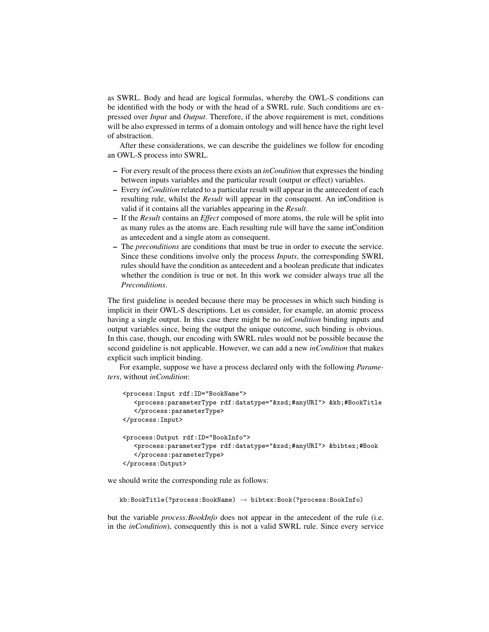as SWRL. Body and head are logical formulas, whereby the OWL-S conditions can be identified with the body or with the head of a SWRL rule. Such conditions are expressed over *Input* and *Output*. Therefore, if the above requirement is met, conditions will be also expressed in terms of a domain ontology and will hence have the right level of abstraction.

After these considerations, we can describe the guidelines we follow for encoding an OWL-S process into SWRL.

- For every result of the process there exists an *inCondition* that expresses the binding between inputs variables and the particular result (output or effect) variables.
- Every *inCondition* related to a particular result will appear in the antecedent of each resulting rule, whilst the *Result* will appear in the consequent. An inCondition is valid if it contains all the variables appearing in the *Result*.
- If the *Result* contains an *Effect* composed of more atoms, the rule will be split into as many rules as the atoms are. Each resulting rule will have the same inCondition as antecedent and a single atom as consequent.
- The *preconditions* are conditions that must be true in order to execute the service. Since these conditions involve only the process *Inputs*, the corresponding SWRL rules should have the condition as antecedent and a boolean predicate that indicates whether the condition is true or not. In this work we consider always true all the *Preconditions*.

The first guideline is needed because there may be processes in which such binding is implicit in their OWL-S descriptions. Let us consider, for example, an atomic process having a single output. In this case there might be no *inCondition* binding inputs and output variables since, being the output the unique outcome, such binding is obvious. In this case, though, our encoding with SWRL rules would not be possible because the second guideline is not applicable. However, we can add a new *inCondition* that makes explicit such implicit binding.

For example, suppose we have a process declared only with the following *Parameters*, without *inCondition*:

```
<process:Input rdf:ID="BookName">
   <process:parameterType rdf:datatype="&xsd;#anyURI"> &kb;#BookTitle
   </process:parameterType>
</process:Input>
<process:Output rdf:ID="BookInfo">
   <process:parameterType rdf:datatype="&xsd;#anyURI"> &bibtex;#Book
   </process:parameterType>
</process:Output>
```
we should write the corresponding rule as follows:

```
kb:BookTitle(?process:BookName) \rightarrow bibtex:Book(?process:BookInfo)
```
but the variable *process:BookInfo* does not appear in the antecedent of the rule (i.e. in the *inCondition*), consequently this is not a valid SWRL rule. Since every service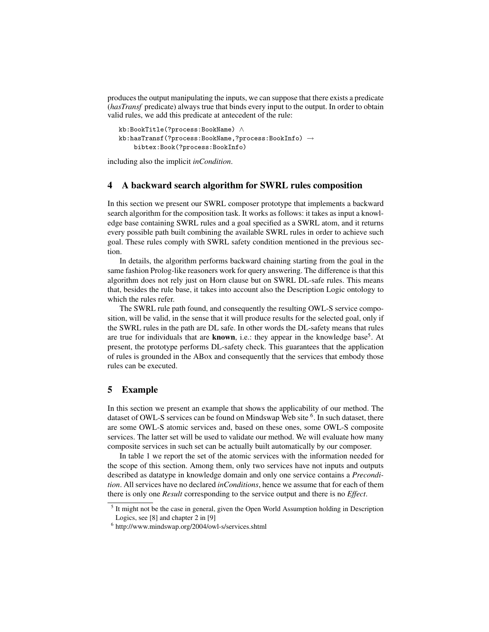produces the output manipulating the inputs, we can suppose that there exists a predicate (*hasTransf* predicate) always true that binds every input to the output. In order to obtain valid rules, we add this predicate at antecedent of the rule:

```
kb:BookTitle(?process:BookName) ∧
kb:hasTransf(?process:BookName,?process:BookInfo) →
    bibtex:Book(?process:BookInfo)
```
including also the implicit *inCondition*.

#### 4 A backward search algorithm for SWRL rules composition

In this section we present our SWRL composer prototype that implements a backward search algorithm for the composition task. It works as follows: it takes as input a knowledge base containing SWRL rules and a goal specified as a SWRL atom, and it returns every possible path built combining the available SWRL rules in order to achieve such goal. These rules comply with SWRL safety condition mentioned in the previous section.

In details, the algorithm performs backward chaining starting from the goal in the same fashion Prolog-like reasoners work for query answering. The difference is that this algorithm does not rely just on Horn clause but on SWRL DL-safe rules. This means that, besides the rule base, it takes into account also the Description Logic ontology to which the rules refer.

The SWRL rule path found, and consequently the resulting OWL-S service composition, will be valid, in the sense that it will produce results for the selected goal, only if the SWRL rules in the path are DL safe. In other words the DL-safety means that rules are true for individuals that are **known**, i.e.: they appear in the knowledge base<sup>5</sup>. At present, the prototype performs DL-safety check. This guarantees that the application of rules is grounded in the ABox and consequently that the services that embody those rules can be executed.

# 5 Example

In this section we present an example that shows the applicability of our method. The dataset of OWL-S services can be found on Mindswap Web site <sup>6</sup>. In such dataset, there are some OWL-S atomic services and, based on these ones, some OWL-S composite services. The latter set will be used to validate our method. We will evaluate how many composite services in such set can be actually built automatically by our composer.

In table 1 we report the set of the atomic services with the information needed for the scope of this section. Among them, only two services have not inputs and outputs described as datatype in knowledge domain and only one service contains a *Precondition*. All services have no declared *inConditions*, hence we assume that for each of them there is only one *Result* corresponding to the service output and there is no *Effect*.

<sup>&</sup>lt;sup>5</sup> It might not be the case in general, given the Open World Assumption holding in Description Logics, see [8] and chapter 2 in [9]

<sup>6</sup> http://www.mindswap.org/2004/owl-s/services.shtml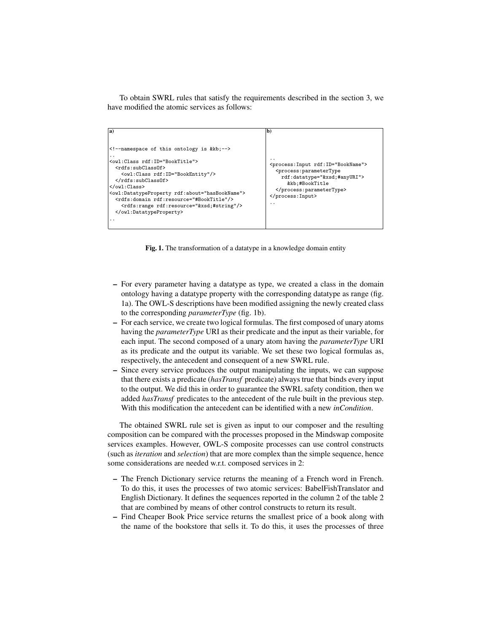To obtain SWRL rules that satisfy the requirements described in the section 3, we have modified the atomic services as follows:



Fig. 1. The transformation of a datatype in a knowledge domain entity

- For every parameter having a datatype as type, we created a class in the domain ontology having a datatype property with the corresponding datatype as range (fig. 1a). The OWL-S descriptions have been modified assigning the newly created class to the corresponding *parameterType* (fig. 1b).
- For each service, we create two logical formulas. The first composed of unary atoms having the *parameterType* URI as their predicate and the input as their variable, for each input. The second composed of a unary atom having the *parameterType* URI as its predicate and the output its variable. We set these two logical formulas as, respectively, the antecedent and consequent of a new SWRL rule.
- Since every service produces the output manipulating the inputs, we can suppose that there exists a predicate (*hasTransf* predicate) always true that binds every input to the output. We did this in order to guarantee the SWRL safety condition, then we added *hasTransf* predicates to the antecedent of the rule built in the previous step. With this modification the antecedent can be identified with a new *inCondition*.

The obtained SWRL rule set is given as input to our composer and the resulting composition can be compared with the processes proposed in the Mindswap composite services examples. However, OWL-S composite processes can use control constructs (such as *iteration* and *selection*) that are more complex than the simple sequence, hence some considerations are needed w.r.t. composed services in 2:

- The French Dictionary service returns the meaning of a French word in French. To do this, it uses the processes of two atomic services: BabelFishTranslator and English Dictionary. It defines the sequences reported in the column 2 of the table 2 that are combined by means of other control constructs to return its result.
- Find Cheaper Book Price service returns the smallest price of a book along with the name of the bookstore that sells it. To do this, it uses the processes of three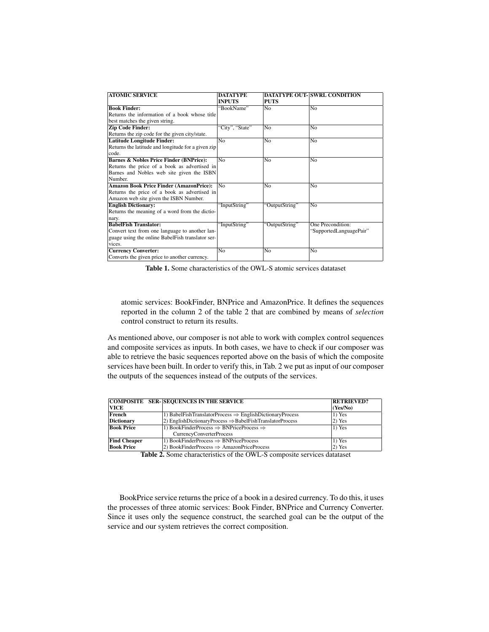| <b>ATOMIC SERVICE</b>                              | <b>DATATYPE</b><br><b>INPUTS</b> | <b>PUTS</b>     | <b>DATATYPE OUT- SWRL CONDITION</b> |
|----------------------------------------------------|----------------------------------|-----------------|-------------------------------------|
| <b>Book Finder:</b>                                | "BookName"                       | $\overline{No}$ | $\overline{No}$                     |
| Returns the information of a book whose title      |                                  |                 |                                     |
| best matches the given string.                     |                                  |                 |                                     |
| <b>Zip Code Finder:</b>                            | "City", "State"                  | N <sub>0</sub>  | No                                  |
| Returns the zip code for the given city/state.     |                                  |                 |                                     |
| <b>Latitude Longitude Finder:</b>                  | N <sub>0</sub>                   | N <sub>0</sub>  | No                                  |
| Returns the latitude and longitude for a given zip |                                  |                 |                                     |
| code.                                              |                                  |                 |                                     |
| <b>Barnes &amp; Nobles Price Finder (BNPrice):</b> | N <sub>0</sub>                   | N <sub>0</sub>  | N <sub>o</sub>                      |
| Returns the price of a book as advertised in       |                                  |                 |                                     |
| Barnes and Nobles web site given the ISBN          |                                  |                 |                                     |
| Number.                                            |                                  |                 |                                     |
| <b>Amazon Book Price Finder (AmazonPrice):</b>     | No.                              | N <sub>o</sub>  | N <sub>o</sub>                      |
| Returns the price of a book as advertised in       |                                  |                 |                                     |
| Amazon web site given the ISBN Number.             |                                  |                 |                                     |
| <b>English Dictionary:</b>                         | "InputString"                    | "OutputString"  | N <sub>o</sub>                      |
| Returns the meaning of a word from the dictio-     |                                  |                 |                                     |
| nary.                                              |                                  |                 |                                     |
| <b>BabelFish Translator:</b>                       | "InputString"                    | "OutputString"  | One Precondition:                   |
| Convert text from one language to another lan-     |                                  |                 | "SupportedLanguagePair"             |
| guage using the online BabelFish translator ser-   |                                  |                 |                                     |
| vices.                                             |                                  |                 |                                     |
| <b>Currency Converter:</b>                         | $\overline{No}$                  | N <sub>0</sub>  | N <sub>o</sub>                      |
| Converts the given price to another currency.      |                                  |                 |                                     |

Table 1. Some characteristics of the OWL-S atomic services datataset

atomic services: BookFinder, BNPrice and AmazonPrice. It defines the sequences reported in the column 2 of the table 2 that are combined by means of *selection* control construct to return its results.

As mentioned above, our composer is not able to work with complex control sequences and composite services as inputs. In both cases, we have to check if our composer was able to retrieve the basic sequences reported above on the basis of which the composite services have been built. In order to verify this, in Tab. 2 we put as input of our composer the outputs of the sequences instead of the outputs of the services.

|                     | COMPOSITE SER-SEQUENCES IN THE SERVICE                               | <b>RETRIEVED?</b> |
|---------------------|----------------------------------------------------------------------|-------------------|
| <b>VICE</b>         |                                                                      | (Yes/No)          |
| French              | 1) BabelFishTranslatorProcess $\Rightarrow$ EnglishDictionaryProcess | $1)$ Yes          |
| Dictionary          | 2) EnglishDictionaryProcess $\Rightarrow$ BabelFishTranslatorProcess | $(2)$ Yes         |
| <b>Book Price</b>   | 1) BookFinderProcess $\Rightarrow$ BNPriceProcess $\Rightarrow$      | $(1)$ Yes         |
|                     | CurrencyConverterProcess                                             |                   |
| <b>Find Cheaper</b> | 1) BookFinderProcess $\Rightarrow$ BNPriceProcess                    | $1)$ Yes          |
| <b>Book Price</b>   | 2) BookFinderProcess $\Rightarrow$ AmazonPriceProcess                | $2)$ Yes          |

Table 2. Some characteristics of the OWL-S composite services datataset

BookPrice service returns the price of a book in a desired currency. To do this, it uses the processes of three atomic services: Book Finder, BNPrice and Currency Converter. Since it uses only the sequence construct, the searched goal can be the output of the service and our system retrieves the correct composition.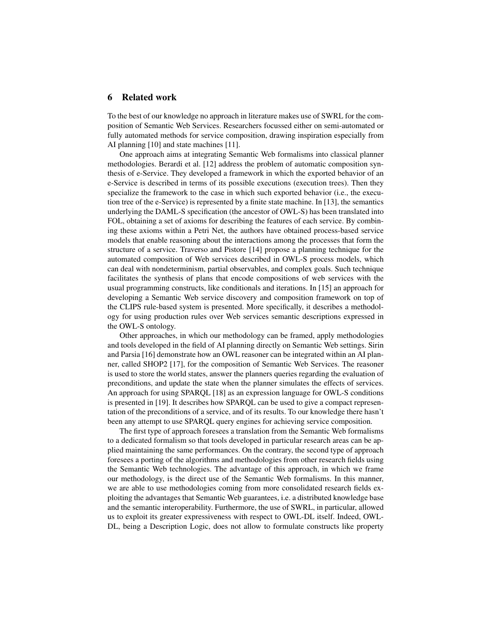## 6 Related work

To the best of our knowledge no approach in literature makes use of SWRL for the composition of Semantic Web Services. Researchers focussed either on semi-automated or fully automated methods for service composition, drawing inspiration especially from AI planning [10] and state machines [11].

One approach aims at integrating Semantic Web formalisms into classical planner methodologies. Berardi et al. [12] address the problem of automatic composition synthesis of e-Service. They developed a framework in which the exported behavior of an e-Service is described in terms of its possible executions (execution trees). Then they specialize the framework to the case in which such exported behavior (i.e., the execution tree of the e-Service) is represented by a finite state machine. In [13], the semantics underlying the DAML-S specification (the ancestor of OWL-S) has been translated into FOL, obtaining a set of axioms for describing the features of each service. By combining these axioms within a Petri Net, the authors have obtained process-based service models that enable reasoning about the interactions among the processes that form the structure of a service. Traverso and Pistore [14] propose a planning technique for the automated composition of Web services described in OWL-S process models, which can deal with nondeterminism, partial observables, and complex goals. Such technique facilitates the synthesis of plans that encode compositions of web services with the usual programming constructs, like conditionals and iterations. In [15] an approach for developing a Semantic Web service discovery and composition framework on top of the CLIPS rule-based system is presented. More specifically, it describes a methodology for using production rules over Web services semantic descriptions expressed in the OWL-S ontology.

Other approaches, in which our methodology can be framed, apply methodologies and tools developed in the field of AI planning directly on Semantic Web settings. Sirin and Parsia [16] demonstrate how an OWL reasoner can be integrated within an AI planner, called SHOP2 [17], for the composition of Semantic Web Services. The reasoner is used to store the world states, answer the planners queries regarding the evaluation of preconditions, and update the state when the planner simulates the effects of services. An approach for using SPARQL [18] as an expression language for OWL-S conditions is presented in [19]. It describes how SPARQL can be used to give a compact representation of the preconditions of a service, and of its results. To our knowledge there hasn't been any attempt to use SPARQL query engines for achieving service composition.

The first type of approach foresees a translation from the Semantic Web formalisms to a dedicated formalism so that tools developed in particular research areas can be applied maintaining the same performances. On the contrary, the second type of approach foresees a porting of the algorithms and methodologies from other research fields using the Semantic Web technologies. The advantage of this approach, in which we frame our methodology, is the direct use of the Semantic Web formalisms. In this manner, we are able to use methodologies coming from more consolidated research fields exploiting the advantages that Semantic Web guarantees, i.e. a distributed knowledge base and the semantic interoperability. Furthermore, the use of SWRL, in particular, allowed us to exploit its greater expressiveness with respect to OWL-DL itself. Indeed, OWL-DL, being a Description Logic, does not allow to formulate constructs like property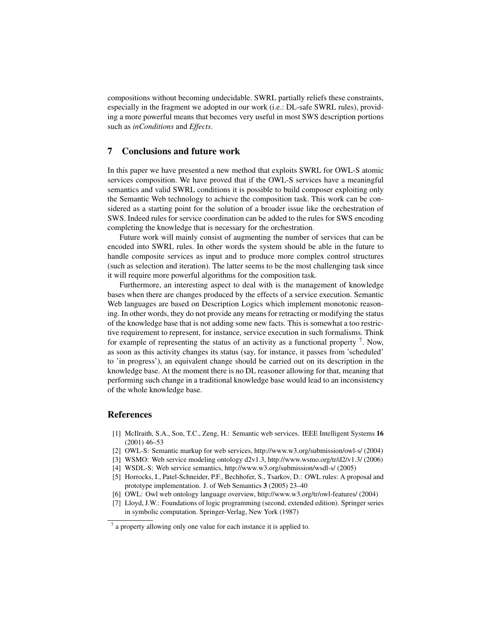compositions without becoming undecidable. SWRL partially reliefs these constraints, especially in the fragment we adopted in our work (i.e.: DL-safe SWRL rules), providing a more powerful means that becomes very useful in most SWS description portions such as *inConditions* and *Effects*.

#### 7 Conclusions and future work

In this paper we have presented a new method that exploits SWRL for OWL-S atomic services composition. We have proved that if the OWL-S services have a meaningful semantics and valid SWRL conditions it is possible to build composer exploiting only the Semantic Web technology to achieve the composition task. This work can be considered as a starting point for the solution of a broader issue like the orchestration of SWS. Indeed rules for service coordination can be added to the rules for SWS encoding completing the knowledge that is necessary for the orchestration.

Future work will mainly consist of augmenting the number of services that can be encoded into SWRL rules. In other words the system should be able in the future to handle composite services as input and to produce more complex control structures (such as selection and iteration). The latter seems to be the most challenging task since it will require more powerful algorithms for the composition task.

Furthermore, an interesting aspect to deal with is the management of knowledge bases when there are changes produced by the effects of a service execution. Semantic Web languages are based on Description Logics which implement monotonic reasoning. In other words, they do not provide any means for retracting or modifying the status of the knowledge base that is not adding some new facts. This is somewhat a too restrictive requirement to represent, for instance, service execution in such formalisms. Think for example of representing the status of an activity as a functional property  $\frac{7}{1}$ . Now, as soon as this activity changes its status (say, for instance, it passes from 'scheduled' to 'in progress'), an equivalent change should be carried out on its description in the knowledge base. At the moment there is no DL reasoner allowing for that, meaning that performing such change in a traditional knowledge base would lead to an inconsistency of the whole knowledge base.

#### References

- [1] McIlraith, S.A., Son, T.C., Zeng, H.: Semantic web services. IEEE Intelligent Systems 16 (2001) 46–53
- [2] OWL-S: Semantic markup for web services, http://www.w3.org/submission/owl-s/ (2004)
- [3] WSMO: Web service modeling ontology d2v1.3, http://www.wsmo.org/tr/d2/v1.3/ (2006)
- [4] WSDL-S: Web service semantics, http://www.w3.org/submission/wsdl-s/ (2005)
- [5] Horrocks, I., Patel-Schneider, P.F., Bechhofer, S., Tsarkov, D.: OWL rules: A proposal and prototype implementation. J. of Web Semantics 3 (2005) 23–40
- [6] OWL: Owl web ontology language overview, http://www.w3.org/tr/owl-features/ (2004)
- [7] Lloyd, J.W.: Foundations of logic programming (second, extended edition). Springer series in symbolic computation. Springer-Verlag, New York (1987)

 $7$  a property allowing only one value for each instance it is applied to.